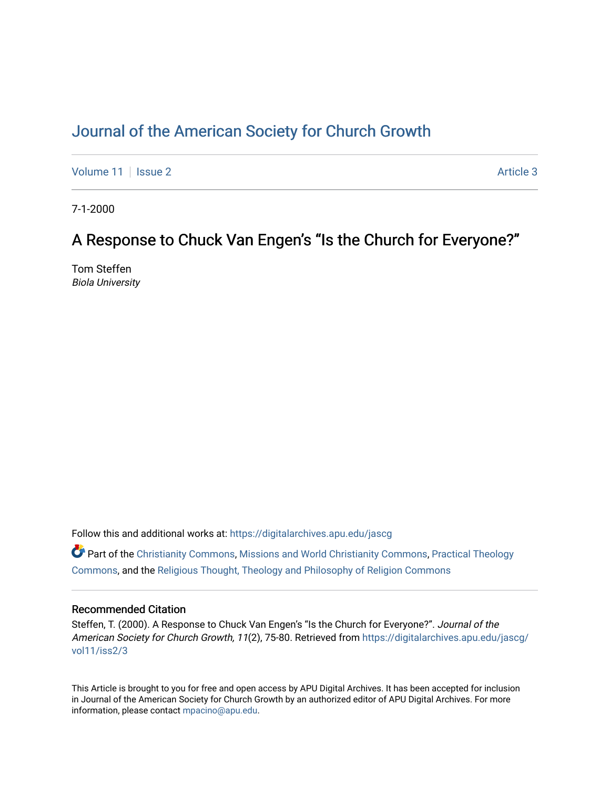# [Journal of the American Society for Church Growth](https://digitalarchives.apu.edu/jascg)

[Volume 11](https://digitalarchives.apu.edu/jascg/vol11) | [Issue 2](https://digitalarchives.apu.edu/jascg/vol11/iss2) Article 3

7-1-2000

# A Response to Chuck Van Engen's "Is the Church for Everyone?"

Tom Steffen Biola University

Follow this and additional works at: [https://digitalarchives.apu.edu/jascg](https://digitalarchives.apu.edu/jascg?utm_source=digitalarchives.apu.edu%2Fjascg%2Fvol11%2Fiss2%2F3&utm_medium=PDF&utm_campaign=PDFCoverPages) 

 $\bullet$  Part of the [Christianity Commons,](http://network.bepress.com/hgg/discipline/1181?utm_source=digitalarchives.apu.edu%2Fjascg%2Fvol11%2Fiss2%2F3&utm_medium=PDF&utm_campaign=PDFCoverPages) [Missions and World Christianity Commons](http://network.bepress.com/hgg/discipline/1187?utm_source=digitalarchives.apu.edu%2Fjascg%2Fvol11%2Fiss2%2F3&utm_medium=PDF&utm_campaign=PDFCoverPages), Practical Theology [Commons](http://network.bepress.com/hgg/discipline/1186?utm_source=digitalarchives.apu.edu%2Fjascg%2Fvol11%2Fiss2%2F3&utm_medium=PDF&utm_campaign=PDFCoverPages), and the [Religious Thought, Theology and Philosophy of Religion Commons](http://network.bepress.com/hgg/discipline/544?utm_source=digitalarchives.apu.edu%2Fjascg%2Fvol11%2Fiss2%2F3&utm_medium=PDF&utm_campaign=PDFCoverPages) 

# Recommended Citation

Steffen, T. (2000). A Response to Chuck Van Engen's "Is the Church for Everyone?". Journal of the American Society for Church Growth, 11(2), 75-80. Retrieved from [https://digitalarchives.apu.edu/jascg/](https://digitalarchives.apu.edu/jascg/vol11/iss2/3?utm_source=digitalarchives.apu.edu%2Fjascg%2Fvol11%2Fiss2%2F3&utm_medium=PDF&utm_campaign=PDFCoverPages) [vol11/iss2/3](https://digitalarchives.apu.edu/jascg/vol11/iss2/3?utm_source=digitalarchives.apu.edu%2Fjascg%2Fvol11%2Fiss2%2F3&utm_medium=PDF&utm_campaign=PDFCoverPages)

This Article is brought to you for free and open access by APU Digital Archives. It has been accepted for inclusion in Journal of the American Society for Church Growth by an authorized editor of APU Digital Archives. For more information, please contact [mpacino@apu.edu](mailto:mpacino@apu.edu).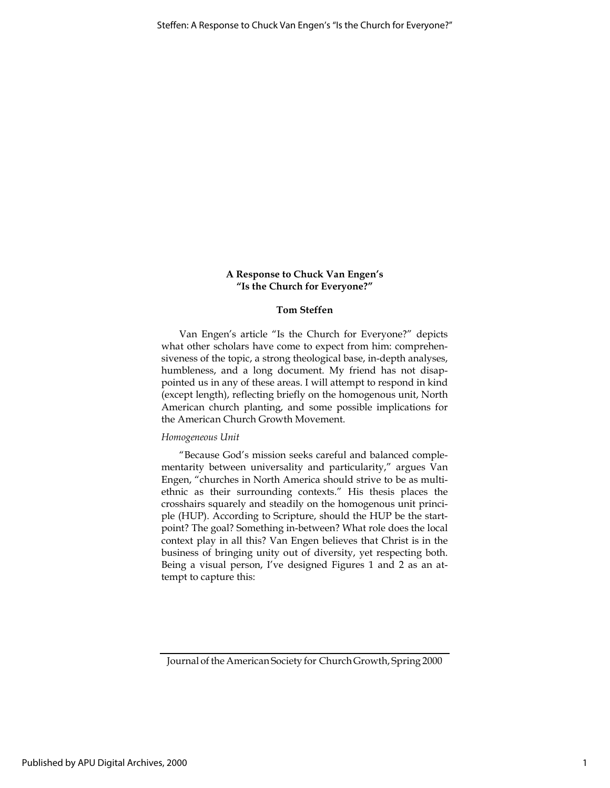### A Response to Chuck Van Engen's "Is the Church for Everyone?"

#### Tom Steffen

Van Engen's article "Is the Church for Everyone?" depicts what other scholars have come to expect from him: comprehensiveness of the topic, a strong theological base, in-depth analyses, humbleness, and a long document. My friend has not disappointed us in any of these areas. I will attempt to respond in kind (except length), reflecting briefly on the homogenous unit, North American church planting, and some possible implications for the American Church Growth Movement.

#### Homogeneous Unit

"Because God's mission seeks careful and balanced complementarity between universality and particularity," argues Van Engen, "churches in North America should strive to be as multiethnic as their surrounding contexts." His thesis places the crosshairs squarely and steadily on the homogenous unit principle (HUP). According to Scripture, should the HUP be the startpoint? The goal? Something in-between? What role does the local context play in all this? Van Engen believes that Christ is in the business of bringing unity out of diversity, yet respecting both. Being a visual person, I've designed Figures 1 and 2 as an attempt to capture this:

Journal of the American Society for Church Growth, Spring 2000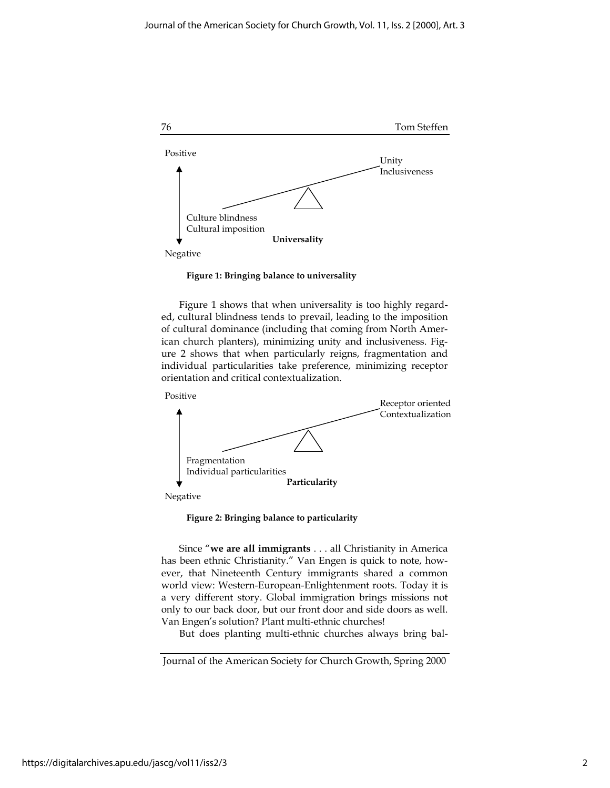

Figure 1: Bringing balance to universality

Figure 1 shows that when universality is too highly regarded, cultural blindness tends to prevail, leading to the imposition of cultural dominance (including that coming from North American church planters), minimizing unity and inclusiveness. Figure 2 shows that when particularly reigns, fragmentation and individual particularities take preference, minimizing receptor orientation and critical contextualization.



Figure 2: Bringing balance to particularity

Since "we are all immigrants . . . all Christianity in America has been ethnic Christianity." Van Engen is quick to note, however, that Nineteenth Century immigrants shared a common world view: Western-European-Enlightenment roots. Today it is a very different story. Global immigration brings missions not only to our back door, but our front door and side doors as well. Van Engen's solution? Plant multi-ethnic churches!

But does planting multi-ethnic churches always bring bal-

Journal of the American Society for Church Growth, Spring 2000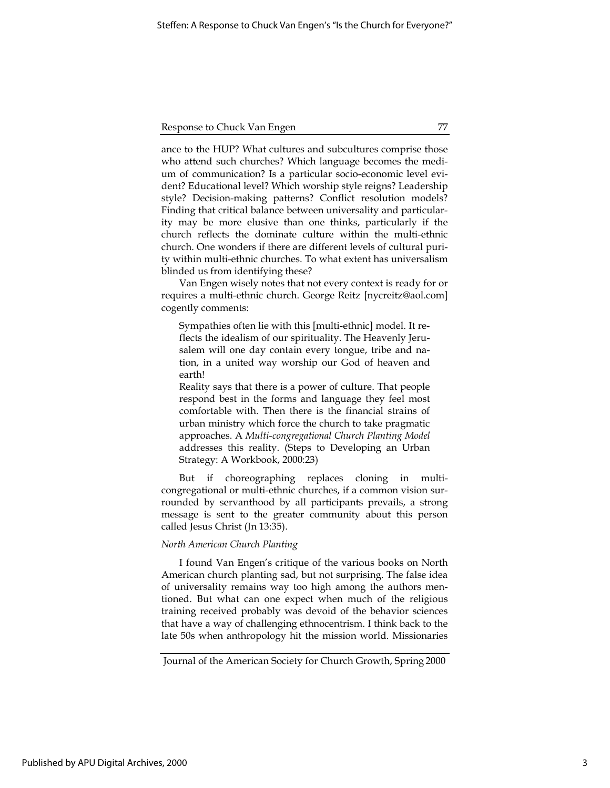#### Response to Chuck Van Engen 77

ance to the HUP? What cultures and subcultures comprise those who attend such churches? Which language becomes the medium of communication? Is a particular socio-economic level evident? Educational level? Which worship style reigns? Leadership style? Decision-making patterns? Conflict resolution models? Finding that critical balance between universality and particularity may be more elusive than one thinks, particularly if the church reflects the dominate culture within the multi-ethnic church. One wonders if there are different levels of cultural purity within multi-ethnic churches. To what extent has universalism blinded us from identifying these?

Van Engen wisely notes that not every context is ready for or requires a multi-ethnic church. George Reitz [nycreitz@aol.com] cogently comments:

Sympathies often lie with this [multi-ethnic] model. It reflects the idealism of our spirituality. The Heavenly Jerusalem will one day contain every tongue, tribe and nation, in a united way worship our God of heaven and earth!

Reality says that there is a power of culture. That people respond best in the forms and language they feel most comfortable with. Then there is the financial strains of urban ministry which force the church to take pragmatic approaches. A Multi-congregational Church Planting Model addresses this reality. (Steps to Developing an Urban Strategy: A Workbook, 2000:23)

But if choreographing replaces cloning in multicongregational or multi-ethnic churches, if a common vision surrounded by servanthood by all participants prevails, a strong message is sent to the greater community about this person called Jesus Christ (Jn 13:35).

#### North American Church Planting

I found Van Engen's critique of the various books on North American church planting sad, but not surprising. The false idea of universality remains way too high among the authors mentioned. But what can one expect when much of the religious training received probably was devoid of the behavior sciences that have a way of challenging ethnocentrism. I think back to the late 50s when anthropology hit the mission world. Missionaries

Journal of the American Society for Church Growth, Spring 2000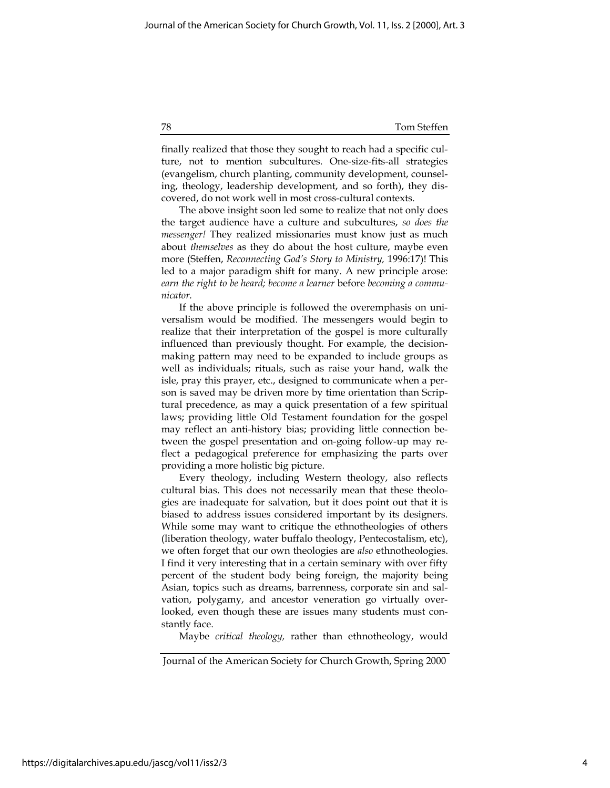#### 78 Tom Steffen

finally realized that those they sought to reach had a specific culture, not to mention subcultures. One-size-fits-all strategies (evangelism, church planting, community development, counseling, theology, leadership development, and so forth), they discovered, do not work well in most cross-cultural contexts.

The above insight soon led some to realize that not only does the target audience have a culture and subcultures, so does the messenger! They realized missionaries must know just as much about themselves as they do about the host culture, maybe even more (Steffen, Reconnecting God's Story to Ministry, 1996:17)! This led to a major paradigm shift for many. A new principle arose: earn the right to be heard; become a learner before becoming a communicator.

If the above principle is followed the overemphasis on universalism would be modified. The messengers would begin to realize that their interpretation of the gospel is more culturally influenced than previously thought. For example, the decisionmaking pattern may need to be expanded to include groups as well as individuals; rituals, such as raise your hand, walk the isle, pray this prayer, etc., designed to communicate when a person is saved may be driven more by time orientation than Scriptural precedence, as may a quick presentation of a few spiritual laws; providing little Old Testament foundation for the gospel may reflect an anti-history bias; providing little connection between the gospel presentation and on-going follow-up may reflect a pedagogical preference for emphasizing the parts over providing a more holistic big picture.

Every theology, including Western theology, also reflects cultural bias. This does not necessarily mean that these theologies are inadequate for salvation, but it does point out that it is biased to address issues considered important by its designers. While some may want to critique the ethnotheologies of others (liberation theology, water buffalo theology, Pentecostalism, etc), we often forget that our own theologies are also ethnotheologies. I find it very interesting that in a certain seminary with over fifty percent of the student body being foreign, the majority being Asian, topics such as dreams, barrenness, corporate sin and salvation, polygamy, and ancestor veneration go virtually overlooked, even though these are issues many students must constantly face.

Maybe critical theology, rather than ethnotheology, would

Journal of the American Society for Church Growth, Spring 2000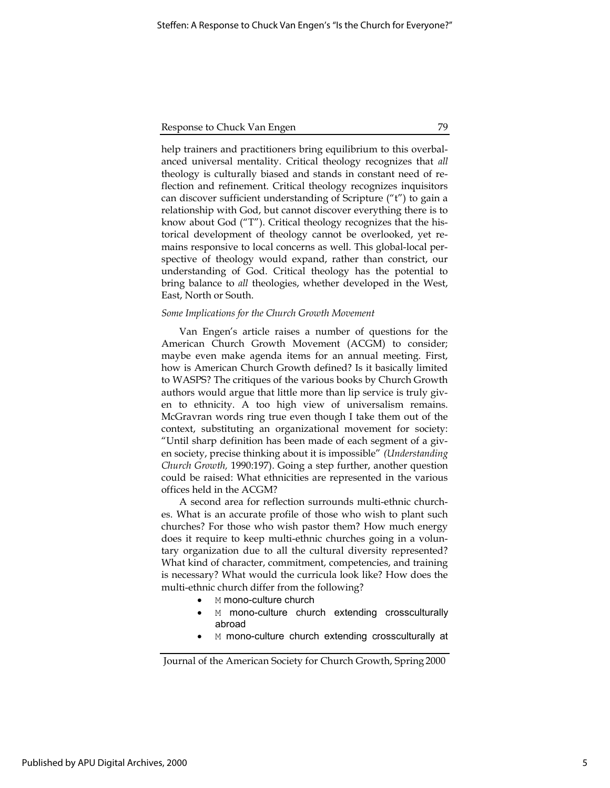## Response to Chuck Van Engen 79

help trainers and practitioners bring equilibrium to this overbalanced universal mentality. Critical theology recognizes that all theology is culturally biased and stands in constant need of reflection and refinement. Critical theology recognizes inquisitors can discover sufficient understanding of Scripture ("t") to gain a relationship with God, but cannot discover everything there is to know about God ("T"). Critical theology recognizes that the historical development of theology cannot be overlooked, yet remains responsive to local concerns as well. This global-local perspective of theology would expand, rather than constrict, our understanding of God. Critical theology has the potential to bring balance to all theologies, whether developed in the West, East, North or South.

#### Some Implications for the Church Growth Movement

Van Engen's article raises a number of questions for the American Church Growth Movement (ACGM) to consider; maybe even make agenda items for an annual meeting. First, how is American Church Growth defined? Is it basically limited to WASPS? The critiques of the various books by Church Growth authors would argue that little more than lip service is truly given to ethnicity. A too high view of universalism remains. McGravran words ring true even though I take them out of the context, substituting an organizational movement for society: "Until sharp definition has been made of each segment of a given society, precise thinking about it is impossible" (Understanding Church Growth, 1990:197). Going a step further, another question could be raised: What ethnicities are represented in the various offices held in the ACGM?

A second area for reflection surrounds multi-ethnic churches. What is an accurate profile of those who wish to plant such churches? For those who wish pastor them? How much energy does it require to keep multi-ethnic churches going in a voluntary organization due to all the cultural diversity represented? What kind of character, commitment, competencies, and training is necessary? What would the curricula look like? How does the multi-ethnic church differ from the following?

- M mono-culture church
- M mono-culture church extending crossculturally abroad
- M mono-culture church extending crossculturally at

Journal of the American Society for Church Growth, Spring 2000